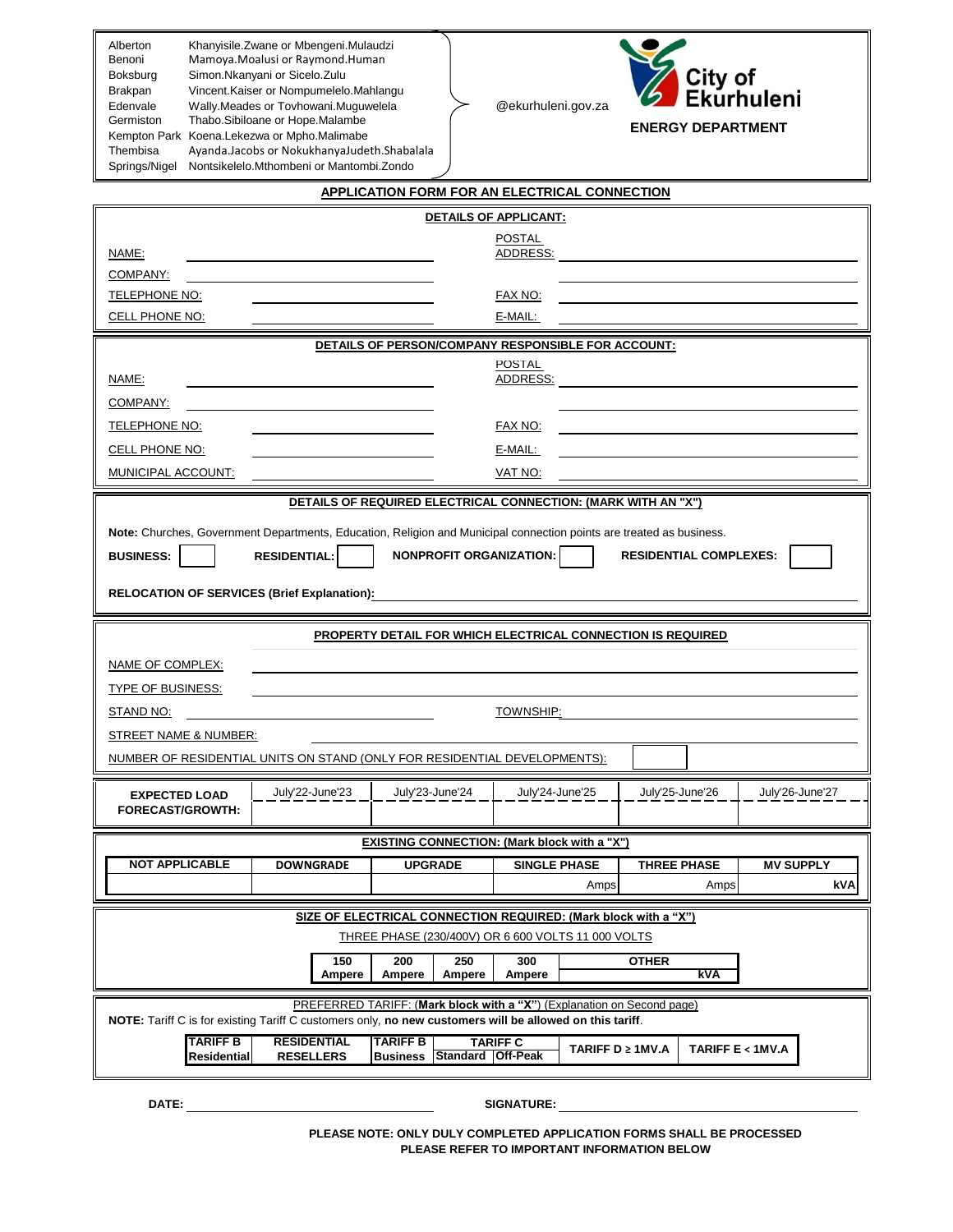| Alberton      | Khanyisile. Zwane or Mbengeni. Mulaudzi     |
|---------------|---------------------------------------------|
| Benoni        | Mamoya.Moalusi or Raymond.Human             |
| Boksburg      | Simon.Nkanyani or Sicelo.Zulu               |
| Brakpan       | Vincent. Kaiser or Nompumelelo. Mahlangu    |
| Edenvale      | Wally.Meades or Tovhowani.Muguwelela        |
| Germiston     | Thabo.Sibiloane or Hope.Malambe             |
| Kempton Park  | Koena.Lekezwa or Mpho.Malimabe              |
| Thembisa      | Ayanda.Jacobs or NokukhanyaJudeth.Shabalala |
| Springs/Nigel | Nontsikelelo.Mthombeni or Mantombi.Zondo    |

@ekurhuleni.gov.za



**ENERGY DEPARTMENT**

|                                                                                                                      |                                                                                                                                                                      |                 |                          | APPLICATION FORM FOR AN ELECTRICAL CONNECTION       |                  |              |                               |                  |     |
|----------------------------------------------------------------------------------------------------------------------|----------------------------------------------------------------------------------------------------------------------------------------------------------------------|-----------------|--------------------------|-----------------------------------------------------|------------------|--------------|-------------------------------|------------------|-----|
|                                                                                                                      |                                                                                                                                                                      |                 |                          | DETAILS OF APPLICANT:                               |                  |              |                               |                  |     |
| <u>NAME:</u>                                                                                                         |                                                                                                                                                                      |                 |                          | POSTAL<br>ADDRESS:                                  |                  |              |                               |                  |     |
| COMPANY:                                                                                                             |                                                                                                                                                                      |                 |                          |                                                     |                  |              |                               |                  |     |
| TELEPHONE NO:                                                                                                        |                                                                                                                                                                      |                 |                          | FAX NO:                                             |                  |              |                               |                  |     |
| CELL PHONE NO:                                                                                                       |                                                                                                                                                                      |                 |                          | E-MAIL:                                             |                  |              |                               |                  |     |
|                                                                                                                      |                                                                                                                                                                      |                 |                          | DETAILS OF PERSON/COMPANY RESPONSIBLE FOR ACCOUNT:  |                  |              |                               |                  |     |
|                                                                                                                      |                                                                                                                                                                      |                 |                          | <b>POSTAL</b>                                       |                  |              |                               |                  |     |
| NAME:                                                                                                                |                                                                                                                                                                      |                 |                          | ADDRESS:                                            |                  |              |                               |                  |     |
| <u>COMPANY:</u>                                                                                                      |                                                                                                                                                                      |                 |                          |                                                     |                  |              |                               |                  |     |
| <b>TELEPHONE NO:</b>                                                                                                 |                                                                                                                                                                      |                 |                          | FAX NO:                                             |                  |              |                               |                  |     |
| CELL PHONE NO:                                                                                                       |                                                                                                                                                                      |                 |                          | E-MAIL:                                             |                  |              |                               |                  |     |
| MUNICIPAL ACCOUNT:                                                                                                   |                                                                                                                                                                      |                 |                          | VAT NO:                                             |                  |              |                               |                  |     |
| DETAILS OF REQUIRED ELECTRICAL CONNECTION: (MARK WITH AN "X")                                                        |                                                                                                                                                                      |                 |                          |                                                     |                  |              |                               |                  |     |
| Note: Churches, Government Departments, Education, Religion and Municipal connection points are treated as business. |                                                                                                                                                                      |                 |                          |                                                     |                  |              |                               |                  |     |
| <b>BUSINESS:</b>                                                                                                     | <b>RESIDENTIAL:</b>                                                                                                                                                  |                 |                          | NONPROFIT ORGANIZATION:                             |                  |              | <b>RESIDENTIAL COMPLEXES:</b> |                  |     |
|                                                                                                                      |                                                                                                                                                                      |                 |                          |                                                     |                  |              |                               |                  |     |
|                                                                                                                      | <b>RELOCATION OF SERVICES (Brief Explanation):</b>                                                                                                                   |                 |                          |                                                     |                  |              |                               |                  |     |
| <b>PROPERTY DETAIL FOR WHICH ELECTRICAL CONNECTION IS REQUIRED</b>                                                   |                                                                                                                                                                      |                 |                          |                                                     |                  |              |                               |                  |     |
| <b>NAME OF COMPLEX:</b>                                                                                              |                                                                                                                                                                      |                 |                          |                                                     |                  |              |                               |                  |     |
| <b>TYPE OF BUSINESS:</b>                                                                                             |                                                                                                                                                                      |                 |                          |                                                     |                  |              |                               |                  |     |
| STAND NO:                                                                                                            | TOWNSHIP:                                                                                                                                                            |                 |                          |                                                     |                  |              |                               |                  |     |
| STREET NAME & NUMBER:                                                                                                |                                                                                                                                                                      |                 |                          |                                                     |                  |              |                               |                  |     |
| NUMBER OF RESIDENTIAL UNITS ON STAND (ONLY FOR RESIDENTIAL DEVELOPMENTS):                                            |                                                                                                                                                                      |                 |                          |                                                     |                  |              |                               |                  |     |
|                                                                                                                      |                                                                                                                                                                      |                 |                          |                                                     |                  |              |                               |                  |     |
| <b>EXPECTED LOAD</b><br><b>FORECAST/GROWTH:</b>                                                                      | July'22-June'23                                                                                                                                                      |                 | July'23-June'24          | July'24-June'25                                     |                  |              | July'25-June'26               | July'26-June'27  |     |
|                                                                                                                      |                                                                                                                                                                      |                 |                          |                                                     |                  |              |                               |                  |     |
|                                                                                                                      |                                                                                                                                                                      |                 |                          | <b>EXISTING CONNECTION: (Mark block with a "X")</b> |                  |              |                               |                  |     |
| <b>NOT APPLICABLE</b>                                                                                                | <b>DOWNGRADE</b>                                                                                                                                                     | <b>UPGRADE</b>  |                          | <b>SINGLE PHASE</b>                                 |                  |              | <b>THREE PHASE</b>            | <b>MV SUPPLY</b> |     |
|                                                                                                                      |                                                                                                                                                                      |                 |                          |                                                     | Amps             |              | Amps                          |                  | kVA |
|                                                                                                                      | SIZE OF ELECTRICAL CONNECTION REQUIRED: (Mark block with a "X")                                                                                                      |                 |                          |                                                     |                  |              |                               |                  |     |
|                                                                                                                      |                                                                                                                                                                      |                 |                          | THREE PHASE (230/400V) OR 6 600 VOLTS 11 000 VOLTS  |                  |              |                               |                  |     |
|                                                                                                                      | 150<br>Ampere                                                                                                                                                        | 200<br>Ampere   | 250<br>Ampere            | 300<br>Ampere                                       |                  | <b>OTHER</b> | kVA                           |                  |     |
|                                                                                                                      | PREFERRED TARIFF: (Mark block with a "X") (Explanation on Second page)                                                                                               |                 |                          |                                                     |                  |              |                               |                  |     |
| <b>TARIFF B</b>                                                                                                      | NOTE: Tariff C is for existing Tariff C customers only, no new customers will be allowed on this tariff.<br><b>RESIDENTIAL</b><br><b>TARIFF B</b><br><b>TARIFF C</b> |                 |                          |                                                     |                  |              |                               |                  |     |
| Residential                                                                                                          | <b>RESELLERS</b>                                                                                                                                                     | <b>Business</b> | <b>Standard Off-Peak</b> |                                                     | TARIFF D ≥ 1MV.A |              | TARIFF E < 1MV.A              |                  |     |
|                                                                                                                      |                                                                                                                                                                      |                 |                          |                                                     |                  |              |                               |                  |     |

**DATE: SIGNATURE:**

**PLEASE NOTE: ONLY DULY COMPLETED APPLICATION FORMS SHALL BE PROCESSED PLEASE REFER TO IMPORTANT INFORMATION BELOW**